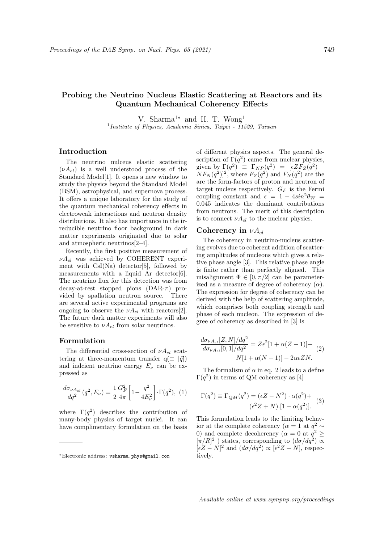# Probing the Neutrino Nucleus Elastic Scattering at Reactors and its Quantum Mechanical Coherency Effects

V. Sharma<sup>1</sup><sup>∗</sup> and H. T. Wong<sup>1</sup>

<sup>1</sup> Institute of Physics, Academia Sinica, Taipei - 11529, Taiwan

## Introduction

The neutrino nulceus elastic scattering  $(\nu A_{el})$  is a well understood process of the Standard Model[1]. It opens a new window to study the physics beyond the Standard Model (BSM), astrophysical, and supernova process. It offers a unique laboratory for the study of the quantum mechanical coherency effects in electroweak interactions and neutron density distributions. It also has importance in the irreducible neutrino floor background in dark matter experiments originated due to solar and atmospheric neutrinos[2–4].

Recently, the first positive measurement of  $\nu A_{el}$  was achieved by COHERENT experiment with  $CsI(Na)$  detector [5], followed by measurements with a liquid Ar detector [6]. The neutrino flux for this detection was from decay-at-rest stopped pions  $(DAR- $\pi$ )$  provided by spallation neutron source. There are several active experimental programs are ongoing to observe the  $\nu A_{el}$  with reactors [2]. The future dark matter experiments will also be sensitive to  $\nu A_{el}$  from solar neutrinos.

#### Formulation

The differential cross-section of  $\nu A_{el}$  scattering at three-momentum transfer  $q(\equiv |\vec{q}|)$ and indcient neutrino energy  $E_{\nu}$  can be expressed as

$$
\frac{d\sigma_{\nu A_{el}}}{dq^2}(q^2, E_{\nu}) = \frac{1}{2} \frac{G_F^2}{4\pi} \left[1 - \frac{q^2}{4E_{\nu}^2}\right] \cdot \Gamma(q^2), (1)
$$

where  $\Gamma(q^2)$  describes the contribution of many-body physics of target nuclei. It can have complimentary formulation on the basis of different physics aspects. The general description of  $\Gamma(q^2)$  came from nuclear physics, given by  $\Gamma(q^2) \equiv \Gamma_{NP}(q^2) = [\epsilon Z F_Z(q^2) NF_N(q^2)$ <sup>2</sup>, where  $F_Z(q^2)$  and  $F_N(q^2)$  are the are the form-factors of proton and neutron of target nucleus respectively.  $G_F$  is the Fermi coupling constant and  $\epsilon = 1 - 4sin^2\theta_W =$ 0.045 indicates the dominant contributions from neutrons. The merit of this description is to connect  $\nu A_{el}$  to the nuclear physics.

#### Coherency in  $\nu A_{el}$

The coherency in neutrino-nucleus scattering evolves due to coherent addition of scattering amplitudes of nucleons which gives a relative phase angle [3]. This relative phase angle is finite rather than perfectly aligned. This misalignment  $\Phi \in [0, \pi/2]$  can be parameterized as a measure of degree of coherency  $(\alpha)$ . The expression for degree of coherency can be derived with the help of scattering amplitude, which comprises both coupling strength and phase of each nucleon. The expression of degree of coherency as described in [3] is

$$
\frac{d\sigma_{\nu A_{el}}[Z,N]/dq^2}{d\sigma_{\nu A_{el}}[0,1]/dq^2} = Z\epsilon^2[1+\alpha(Z-1)] +
$$
  
 
$$
N[1+\alpha(N-1)] - 2\alpha\epsilon ZN.
$$
 (2)

The formalism of  $\alpha$  in eq. 2 leads to a define  $\Gamma(q^2)$  in terms of QM coherency as [4]

$$
\Gamma(q^2) \equiv \Gamma_{QM}(q^2) = (\epsilon Z - N^2) \cdot \alpha(q^2) +
$$
  

$$
(\epsilon^2 Z + N) \cdot [1 - \alpha(q^2)].
$$
 (3)

This formulation leads to the limiting behavior at the complete coherency ( $\alpha = 1$  at  $q^2 \sim$ 0) and complete decoherency ( $\alpha = 0$  at  $q^2 \geq$  $[\pi/R]^2$ ) states, corresponding to  $(d\sigma/dq^2) \propto$  $\lbrack \epsilon Z-N\rbrack^2$  and  $(d\sigma/dq^2) \propto \lbrack \epsilon^2 Z+N\rbrack$ , respectively.

<sup>∗</sup>Electronic address: vsharma.phys@gmail.com